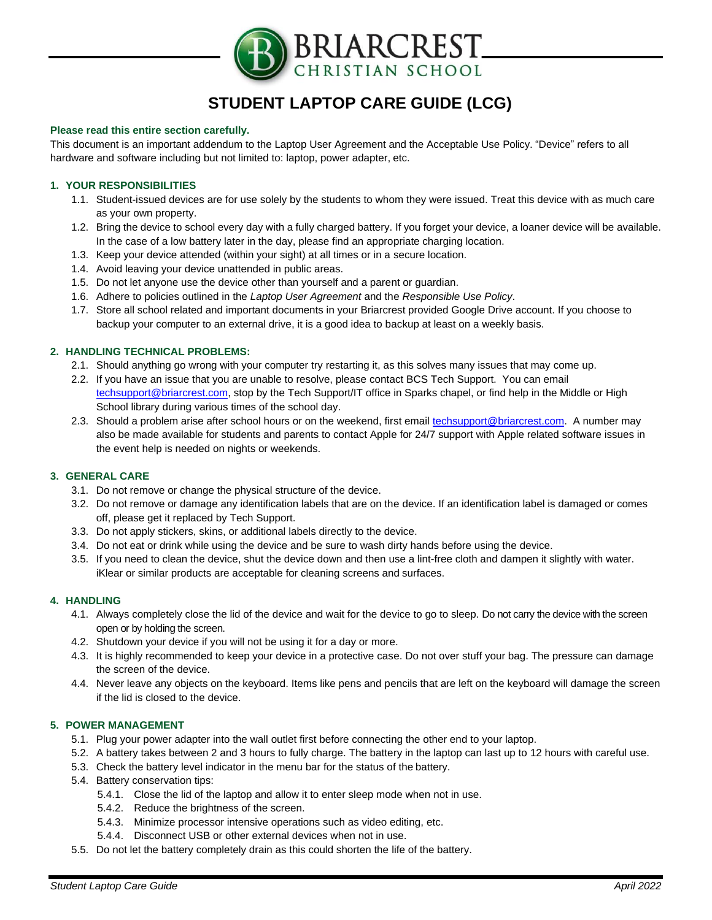

# **STUDENT LAPTOP CARE GUIDE (LCG)**

#### **Please read this entire section carefully.**

This document is an important addendum to the Laptop User Agreement and the Acceptable Use Policy. "Device" refers to all hardware and software including but not limited to: laptop, power adapter, etc.

## **1. YOUR RESPONSIBILITIES**

- 1.1. Student-issued devices are for use solely by the students to whom they were issued. Treat this device with as much care as your own property.
- 1.2. Bring the device to school every day with a fully charged battery. If you forget your device, a loaner device will be available. In the case of a low battery later in the day, please find an appropriate charging location.
- 1.3. Keep your device attended (within your sight) at all times or in a secure location.
- 1.4. Avoid leaving your device unattended in public areas.
- 1.5. Do not let anyone use the device other than yourself and a parent or guardian.
- 1.6. Adhere to policies outlined in the *Laptop User Agreement* and the *Responsible Use Policy*.
- 1.7. Store all school related and important documents in your Briarcrest provided Google Drive account. If you choose to backup your computer to an external drive, it is a good idea to backup at least on a weekly basis.

# **2. HANDLING TECHNICAL PROBLEMS:**

- 2.1. Should anything go wrong with your computer try restarting it, as this solves many issues that may come up.
- 2.2. If you have an issue that you are unable to resolve, please contact BCS Tech Support. You can email [techsupport@briarcrest.com,](mailto:techsupport@briarcrest.com) stop by the Tech Support/IT office in Sparks chapel, or find help in the Middle or High School library during various times of the school day.
- 2.3. Should a problem arise after school hours or on the weekend, first email [techsupport@briarcrest.com.](mailto:techsupport@briarcrest.com) A number may also be made available for students and parents to contact Apple for 24/7 support with Apple related software issues in the event help is needed on nights or weekends.

#### **3. GENERAL CARE**

- 3.1. Do not remove or change the physical structure of the device.
- 3.2. Do not remove or damage any identification labels that are on the device. If an identification label is damaged or comes off, please get it replaced by Tech Support.
- 3.3. Do not apply stickers, skins, or additional labels directly to the device.
- 3.4. Do not eat or drink while using the device and be sure to wash dirty hands before using the device.
- 3.5. If you need to clean the device, shut the device down and then use a lint-free cloth and dampen it slightly with water. iKlear or similar products are acceptable for cleaning screens and surfaces.

#### **4. HANDLING**

- 4.1. Always completely close the lid of the device and wait for the device to go to sleep. Do not carry the device with the screen open or by holding the screen.
- 4.2. Shutdown your device if you will not be using it for a day or more.
- 4.3. It is highly recommended to keep your device in a protective case. Do not over stuff your bag. The pressure can damage the screen of the device.
- 4.4. Never leave any objects on the keyboard. Items like pens and pencils that are left on the keyboard will damage the screen if the lid is closed to the device.

## **5. POWER MANAGEMENT**

- 5.1. Plug your power adapter into the wall outlet first before connecting the other end to your laptop.
- 5.2. A battery takes between 2 and 3 hours to fully charge. The battery in the laptop can last up to 12 hours with careful use.
- 5.3. Check the battery level indicator in the menu bar for the status of the battery.
- 5.4. Battery conservation tips:
	- 5.4.1. Close the lid of the laptop and allow it to enter sleep mode when not in use.
	- 5.4.2. Reduce the brightness of the screen.
	- 5.4.3. Minimize processor intensive operations such as video editing, etc.
	- 5.4.4. Disconnect USB or other external devices when not in use.
- 5.5. Do not let the battery completely drain as this could shorten the life of the battery.